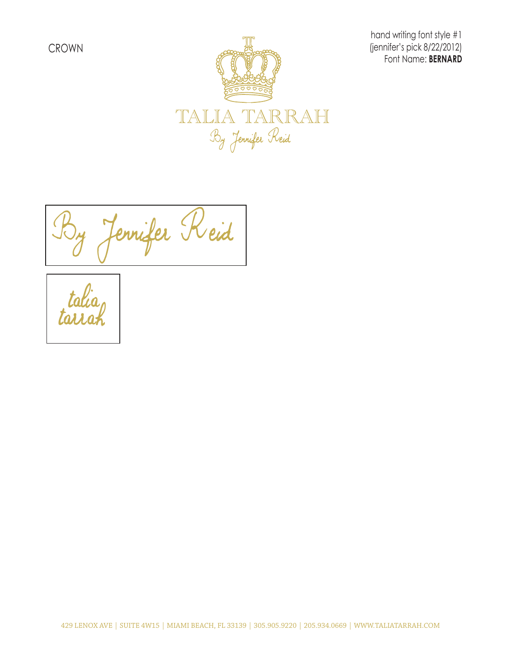

hand writing font style #1 (jennifer's pick 8/22/2012) Font Name: **BERNARD**

Jennifer Reid

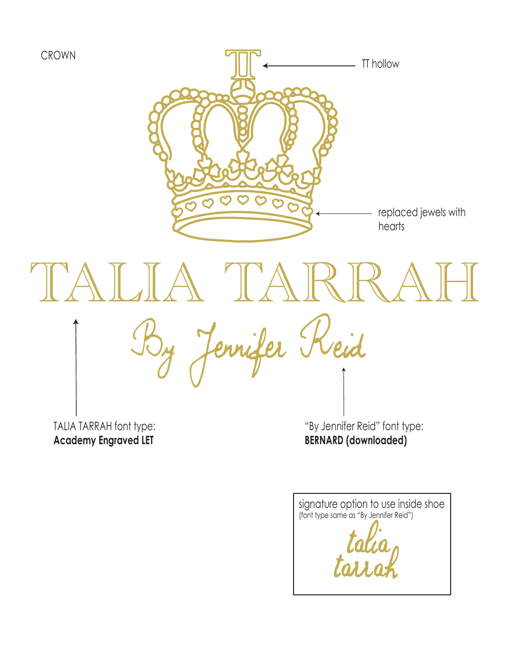

**Academy Engraved LET**

"By Jennifer Reid" font type: **BERNARD (downloaded)**

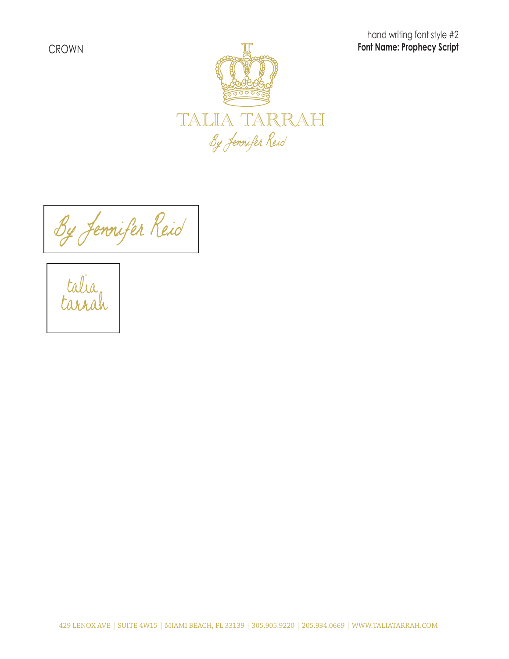hand writing font style #2 **Font Name: Prophecy Script**



By Jennifer Reid

ta<br>tar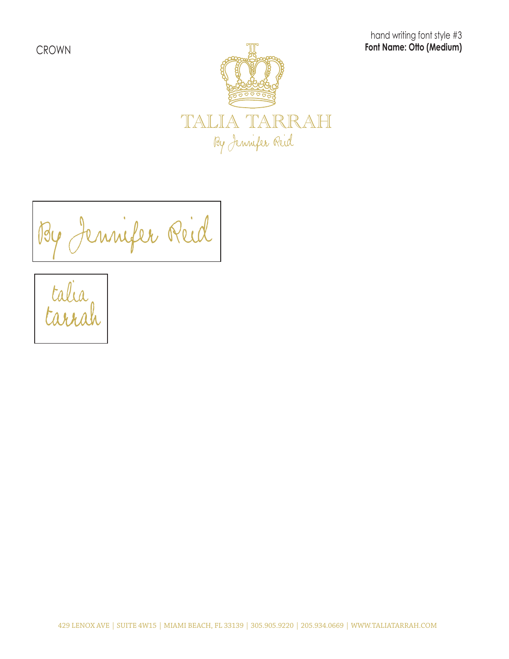hand writing font style #3 **Font Name: Otto (Medium)**



By Jennifer Reid

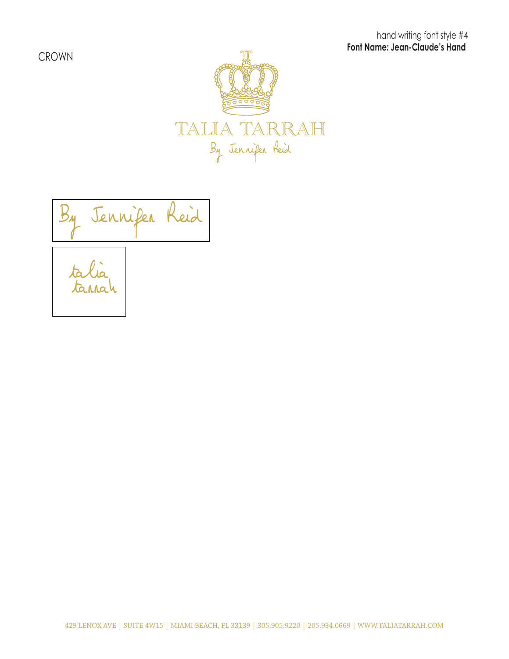hand writing font style #4  **Font Name: Jean-Claude's Hand** 

CROWN



tarrah talia Jennifer Reid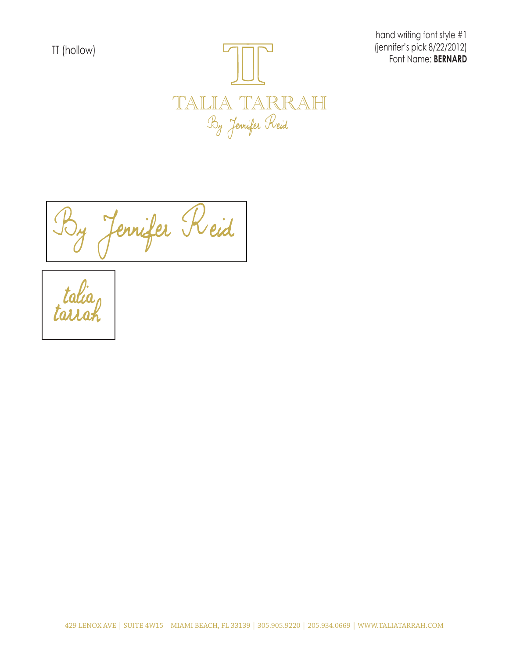

hand writing font style #1 (jennifer's pick 8/22/2012)

Jennifer Reid

talia<br>tairah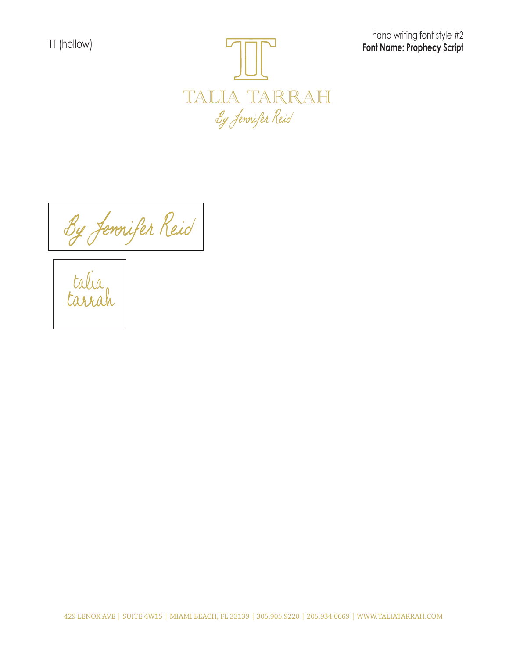TT (hollow)



hand writing font style #2 **Font Name: Prophecy Script**

By Jennifer Reid



429 LENOX AVE | SUITE 4W15 | MIAMI BEACH, FL 33139 | 305.905.9220 | 205.934.0669 | WWW.TALIATARRAH.COM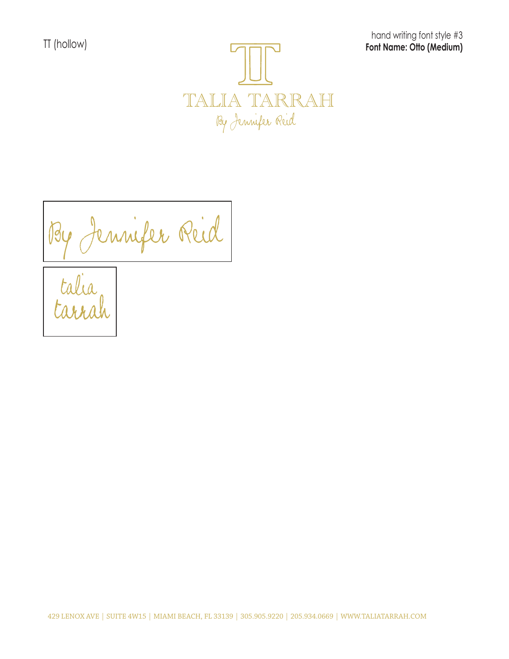TT (hollow)

hand writing font style #3 **Font Name: Otto (Medium)**



By Jennifer Reid



429 LENOX AVE | SUITE 4W15 | MIAMI BEACH, FL 33139 | 305.905.9220 | 205.934.0669 | WWW.TALIATARRAH.COM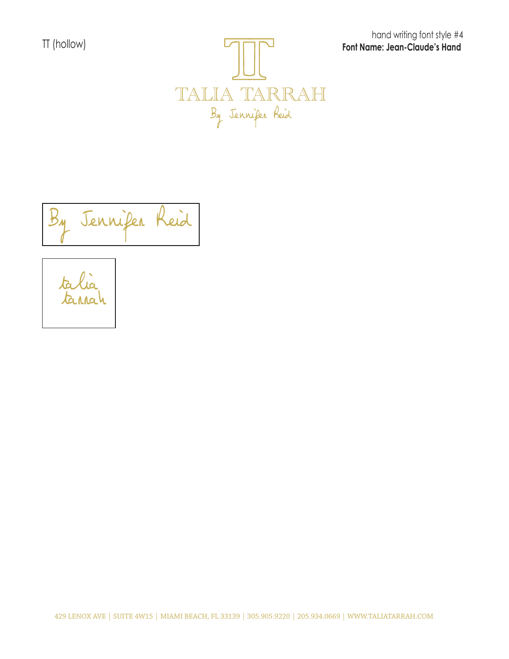TT (hollow)



hand writing font style #4  **Font Name: Jean-Claude's Hand** 

Jennifer Reid

tarrah  $ta$ 

429 LENOX AVE | SUITE 4W15 | MIAMI BEACH, FL 33139 | 305.905.9220 | 205.934.0669 | WWW.TALIATARRAH.COM